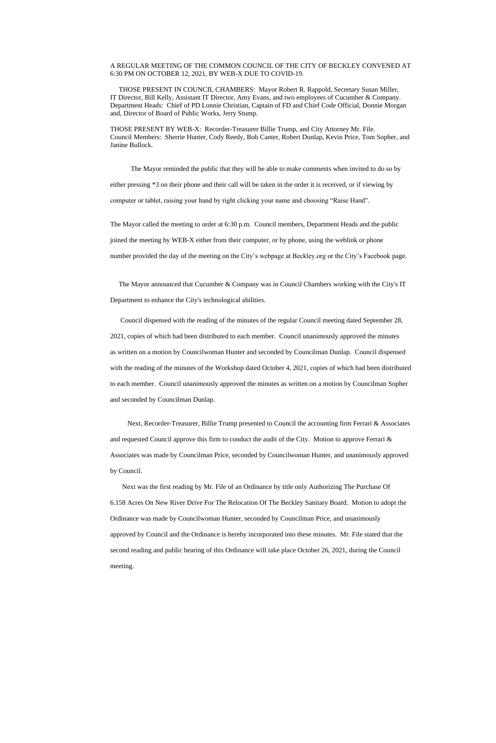## A REGULAR MEETING OF THE COMMON COUNCIL OF THE CITY OF BECKLEY CONVENED AT 6:30 PM ON OCTOBER 12, 2021, BY WEB-X DUE TO COVID-19.

 THOSE PRESENT IN COUNCIL CHAMBERS: Mayor Robert R. Rappold, Secretary Susan Miller, IT Director, Bill Kelly, Assistant IT Director, Amy Evans, and two employees of Cucumber & Company. Department Heads: Chief of PD Lonnie Christian, Captain of FD and Chief Code Official, Donnie Morgan and, Director of Board of Public Works, Jerry Stump.

THOSE PRESENT BY WEB-X: Recorder-Treasurer Billie Trump, and City Attorney Mr. File. Council Members: Sherrie Hunter, Cody Reedy, Bob Canter, Robert Dunlap, Kevin Price, Tom Sopher, and Janine Bullock.

The Mayor announced that Cucumber & Company was in Council Chambers working with the City's IT Department to enhance the City's technological abilities.

 The Mayor reminded the public that they will be able to make comments when invited to do so by either pressing \*3 on their phone and their call will be taken in the order it is received, or if viewing by computer or tablet, raising your hand by right clicking your name and choosing "Raise Hand".

The Mayor called the meeting to order at 6:30 p.m. Council members, Department Heads and the public joined the meeting by WEB-X either from their computer, or by phone, using the weblink or phone number provided the day of the meeting on the City's webpage at Beckley.org or the City's Facebook page.

 Council dispensed with the reading of the minutes of the regular Council meeting dated September 28, 2021, copies of which had been distributed to each member. Council unanimously approved the minutes as written on a motion by Councilwoman Hunter and seconded by Councilman Dunlap. Council dispensed with the reading of the minutes of the Workshop dated October 4, 2021, copies of which had been distributed to each member. Council unanimously approved the minutes as written on a motion by Councilman Sopher and seconded by Councilman Dunlap.

 Next, Recorder-Treasurer, Billie Trump presented to Council the accounting firm Ferrari & Associates and requested Council approve this firm to conduct the audit of the City. Motion to approve Ferrari & Associates was made by Councilman Price, seconded by Councilwoman Hunter, and unanimously approved by Council.

 Next was the first reading by Mr. File of an Ordinance by title only Authorizing The Purchase Of 6.158 Acres On New River Drive For The Relocation Of The Beckley Sanitary Board. Motion to adopt the

Ordinance was made by Councilwoman Hunter, seconded by Councilman Price, and unanimously

approved by Council and the Ordinance is hereby incorporated into these minutes. Mr. File stated that the

second reading and public hearing of this Ordinance will take place October 26, 2021, during the Council

meeting.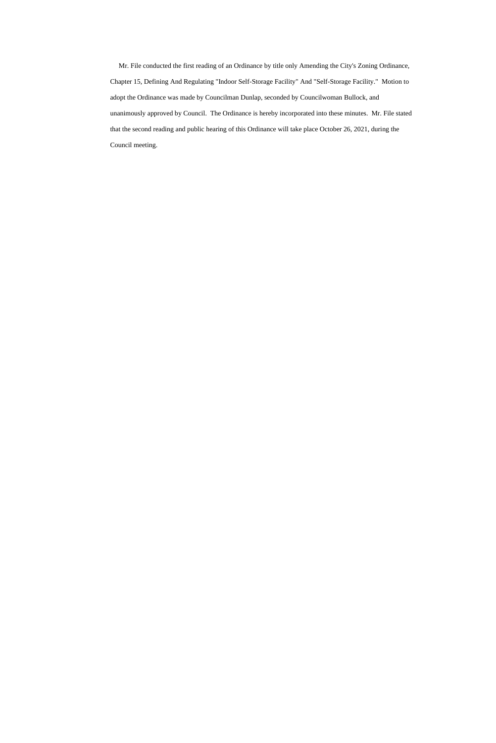Mr. File conducted the first reading of an Ordinance by title only Amending the City's Zoning Ordinance, Chapter 15, Defining And Regulating "Indoor Self-Storage Facility" And "Self-Storage Facility." Motion to adopt the Ordinance was made by Councilman Dunlap, seconded by Councilwoman Bullock, and unanimously approved by Council. The Ordinance is hereby incorporated into these minutes. Mr. File stated that the second reading and public hearing of this Ordinance will take place October 26, 2021, during the Council meeting.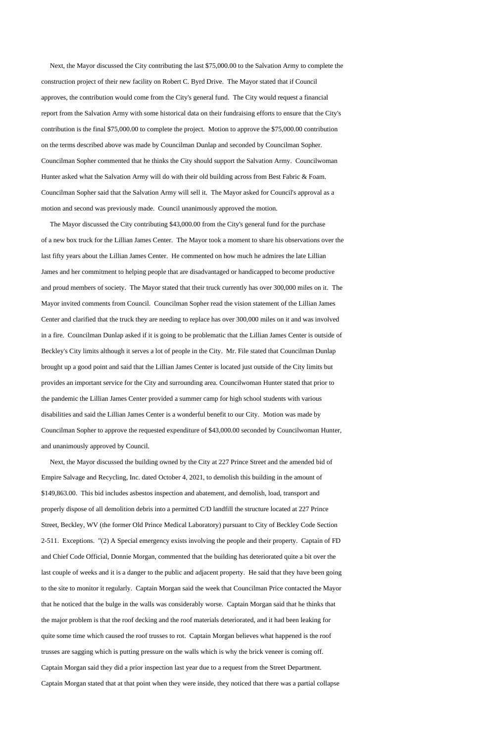Next, the Mayor discussed the City contributing the last \$75,000.00 to the Salvation Army to complete the construction project of their new facility on Robert C. Byrd Drive. The Mayor stated that if Council approves, the contribution would come from the City's general fund. The City would request a financial report from the Salvation Army with some historical data on their fundraising efforts to ensure that the City's contribution is the final \$75,000.00 to complete the project. Motion to approve the \$75,000.00 contribution on the terms described above was made by Councilman Dunlap and seconded by Councilman Sopher. Councilman Sopher commented that he thinks the City should support the Salvation Army. Councilwoman Hunter asked what the Salvation Army will do with their old building across from Best Fabric & Foam. Councilman Sopher said that the Salvation Army will sell it. The Mayor asked for Council's approval as a motion and second was previously made. Council unanimously approved the motion.

 The Mayor discussed the City contributing \$43,000.00 from the City's general fund for the purchase of a new box truck for the Lillian James Center. The Mayor took a moment to share his observations over the last fifty years about the Lillian James Center. He commented on how much he admires the late Lillian James and her commitment to helping people that are disadvantaged or handicapped to become productive and proud members of society. The Mayor stated that their truck currently has over 300,000 miles on it. The Mayor invited comments from Council. Councilman Sopher read the vision statement of the Lillian James Center and clarified that the truck they are needing to replace has over 300,000 miles on it and was involved in a fire. Councilman Dunlap asked if it is going to be problematic that the Lillian James Center is outside of Beckley's City limits although it serves a lot of people in the City. Mr. File stated that Councilman Dunlap brought up a good point and said that the Lillian James Center is located just outside of the City limits but provides an important service for the City and surrounding area. Councilwoman Hunter stated that prior to the pandemic the Lillian James Center provided a summer camp for high school students with various disabilities and said the Lillian James Center is a wonderful benefit to our City. Motion was made by Councilman Sopher to approve the requested expenditure of \$43,000.00 seconded by Councilwoman Hunter, and unanimously approved by Council.

 Next, the Mayor discussed the building owned by the City at 227 Prince Street and the amended bid of Empire Salvage and Recycling, Inc. dated October 4, 2021, to demolish this building in the amount of \$149,863.00. This bid includes asbestos inspection and abatement, and demolish, load, transport and properly dispose of all demolition debris into a permitted C/D landfill the structure located at 227 Prince

Street, Beckley, WV (the former Old Prince Medical Laboratory) pursuant to City of Beckley Code Section 2-511. Exceptions. "(2) A Special emergency exists involving the people and their property. Captain of FD and Chief Code Official, Donnie Morgan, commented that the building has deteriorated quite a bit over the last couple of weeks and it is a danger to the public and adjacent property. He said that they have been going to the site to monitor it regularly. Captain Morgan said the week that Councilman Price contacted the Mayor that he noticed that the bulge in the walls was considerably worse. Captain Morgan said that he thinks that the major problem is that the roof decking and the roof materials deteriorated, and it had been leaking for quite some time which caused the roof trusses to rot. Captain Morgan believes what happened is the roof trusses are sagging which is putting pressure on the walls which is why the brick veneer is coming off. Captain Morgan said they did a prior inspection last year due to a request from the Street Department. Captain Morgan stated that at that point when they were inside, they noticed that there was a partial collapse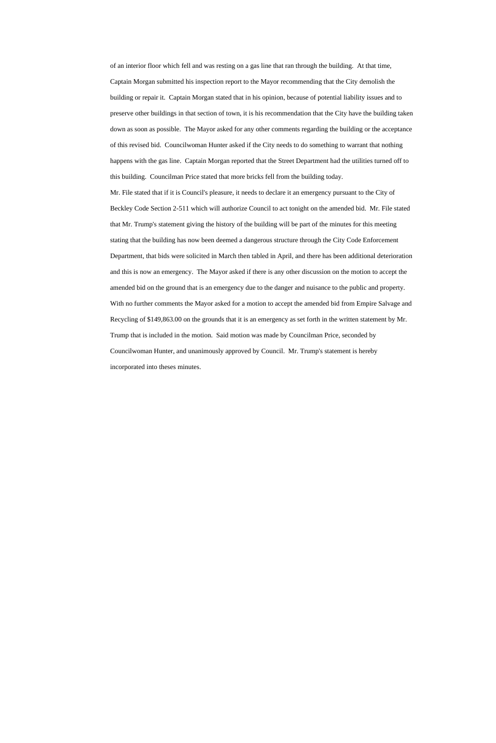of an interior floor which fell and was resting on a gas line that ran through the building. At that time, Captain Morgan submitted his inspection report to the Mayor recommending that the City demolish the building or repair it. Captain Morgan stated that in his opinion, because of potential liability issues and to preserve other buildings in that section of town, it is his recommendation that the City have the building taken down as soon as possible. The Mayor asked for any other comments regarding the building or the acceptance of this revised bid. Councilwoman Hunter asked if the City needs to do something to warrant that nothing happens with the gas line. Captain Morgan reported that the Street Department had the utilities turned off to this building. Councilman Price stated that more bricks fell from the building today.

Mr. File stated that if it is Council's pleasure, it needs to declare it an emergency pursuant to the City of Beckley Code Section 2-511 which will authorize Council to act tonight on the amended bid. Mr. File stated that Mr. Trump's statement giving the history of the building will be part of the minutes for this meeting stating that the building has now been deemed a dangerous structure through the City Code Enforcement Department, that bids were solicited in March then tabled in April, and there has been additional deterioration and this is now an emergency. The Mayor asked if there is any other discussion on the motion to accept the amended bid on the ground that is an emergency due to the danger and nuisance to the public and property. With no further comments the Mayor asked for a motion to accept the amended bid from Empire Salvage and Recycling of \$149,863.00 on the grounds that it is an emergency as set forth in the written statement by Mr. Trump that is included in the motion. Said motion was made by Councilman Price, seconded by Councilwoman Hunter, and unanimously approved by Council. Mr. Trump's statement is hereby incorporated into theses minutes.